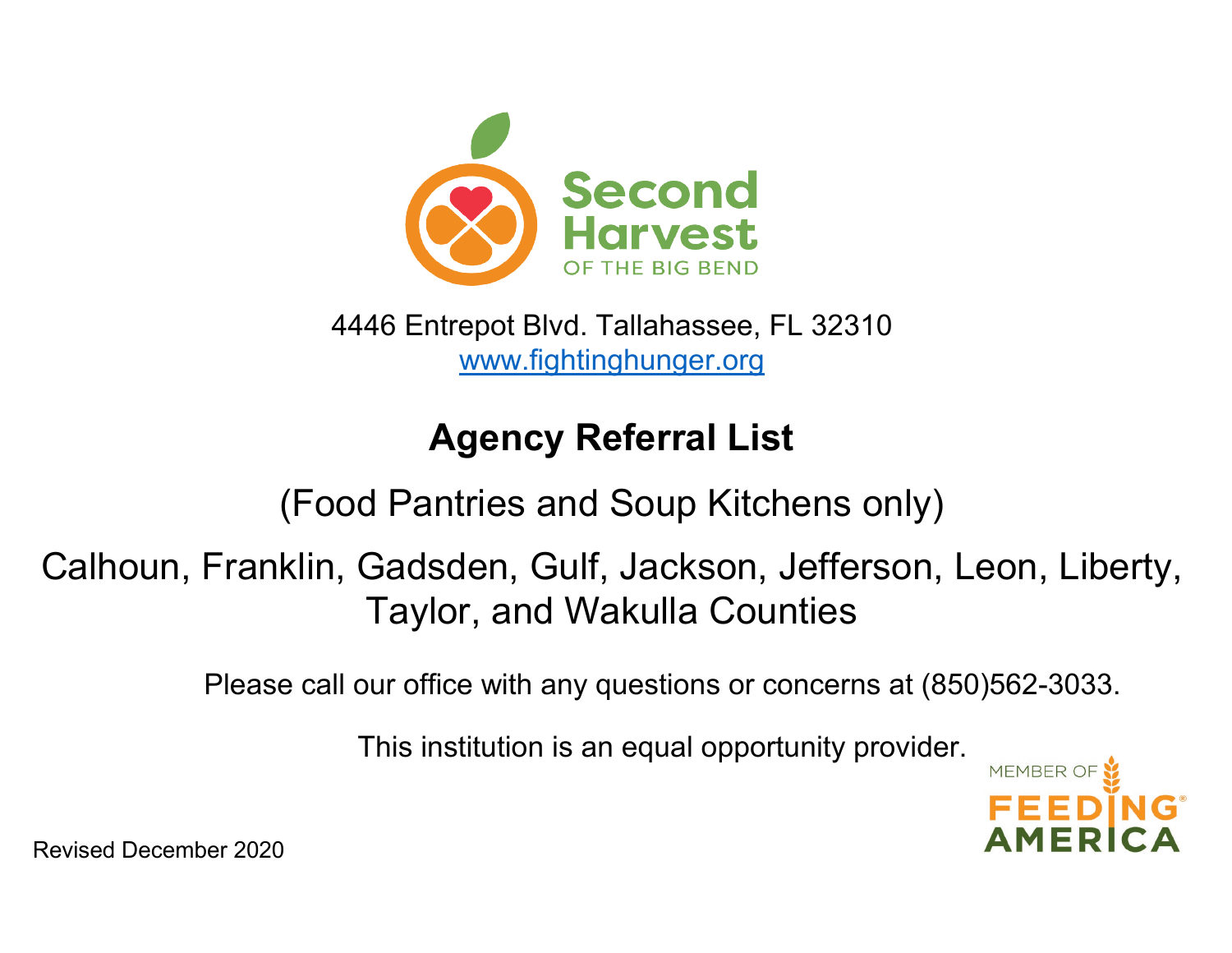

[www.fightinghunger.org](http://www.fightinghunger.org/) 4446 Entrepot Blvd. Tallahassee, FL 32310

## **Agency Referral List**

## (Food Pantries and Soup Kitchens only)

Calhoun, Franklin, Gadsden, Gulf, Jackson, Jefferson, Leon, Liberty, Taylor, and Wakulla Counties

Please call our office with any questions or concerns at (850)562-3033.

This institution is an equal opportunity provider.



Revised December 2020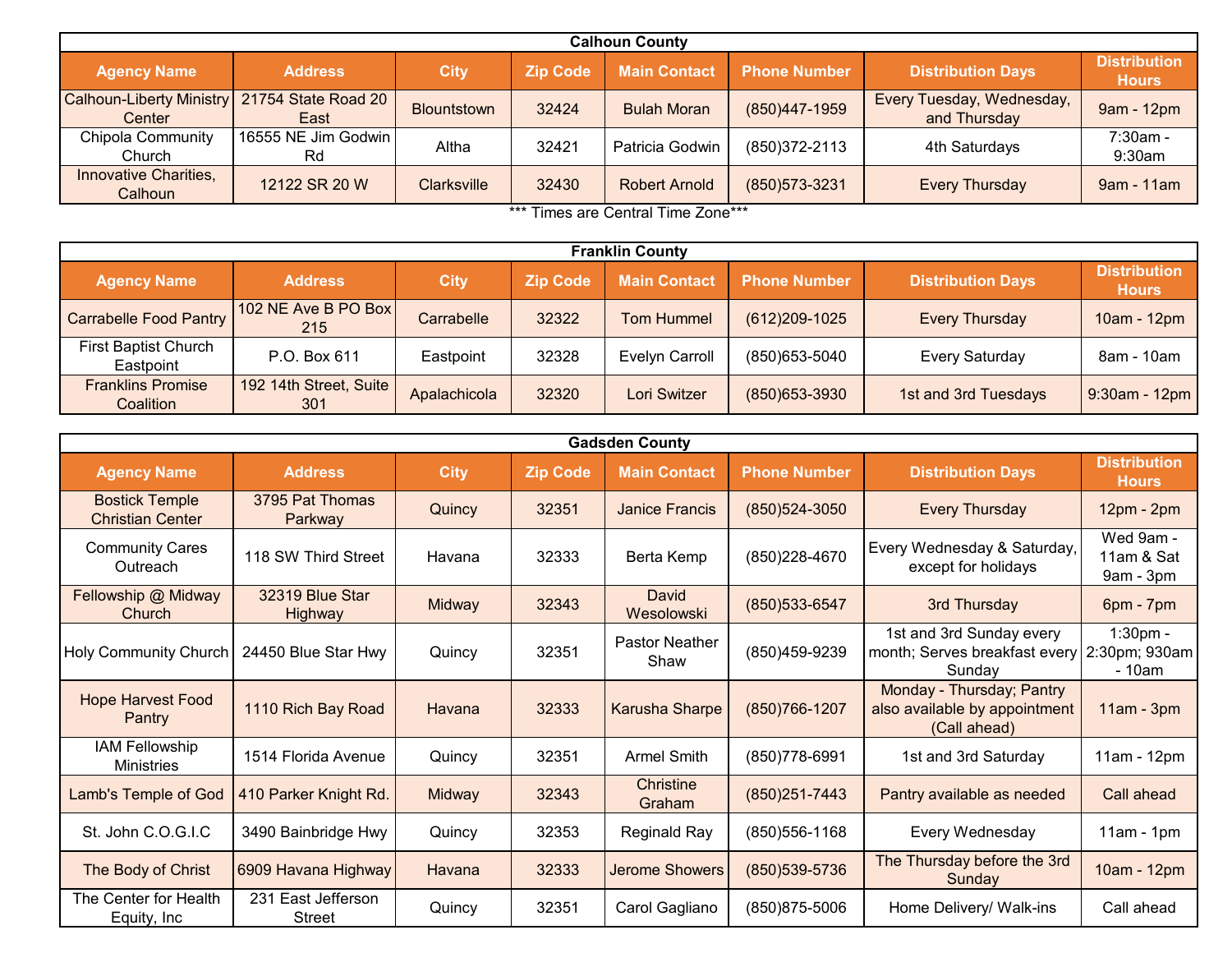| <b>Calhoun County</b>                     |                             |                    |                 |                      |                     |                                           |                                     |  |  |  |  |
|-------------------------------------------|-----------------------------|--------------------|-----------------|----------------------|---------------------|-------------------------------------------|-------------------------------------|--|--|--|--|
| <b>Agency Name</b>                        | <b>Address</b>              | <b>City</b>        | <b>Zip Code</b> | <b>Main Contact</b>  | <b>Phone Number</b> | <b>Distribution Days</b>                  | <b>Distribution</b><br><b>Hours</b> |  |  |  |  |
| <b>Calhoun-Liberty Ministry</b><br>Center | 21754 State Road 20<br>East | <b>Blountstown</b> | 32424           | <b>Bulah Moran</b>   | (850)447-1959       | Every Tuesday, Wednesday,<br>and Thursday | 9am - 12pm                          |  |  |  |  |
| <b>Chipola Community</b><br>Church        | 16555 NE Jim Godwin<br>Rd   | Altha              | 32421           | Patricia Godwin      | (850) 372-2113      | 4th Saturdays                             | $7:30am -$<br>$9:30$ am             |  |  |  |  |
| Innovative Charities,<br>Calhoun          | 12122 SR 20 W               | <b>Clarksville</b> | 32430           | <b>Robert Arnold</b> | (850) 573-3231      | <b>Every Thursday</b>                     | $9am - 11am$                        |  |  |  |  |

\*\*\* Times are Central Time Zone\*\*\*

| <b>Franklin County</b>                   |                               |              |                 |                       |                     |                          |                                     |  |  |  |  |
|------------------------------------------|-------------------------------|--------------|-----------------|-----------------------|---------------------|--------------------------|-------------------------------------|--|--|--|--|
| <b>Agency Name</b>                       | <b>Address</b>                | <b>City</b>  | <b>Zip Code</b> | <b>Main Contact</b>   | <b>Phone Number</b> | <b>Distribution Days</b> | <b>Distribution</b><br><b>Hours</b> |  |  |  |  |
| <b>Carrabelle Food Pantry</b>            | 102 NE Ave B PO Box<br>215    | Carrabelle   | 32322           | <b>Tom Hummel</b>     | $(612)209-1025$     | <b>Every Thursday</b>    | 10am - 12pm                         |  |  |  |  |
| <b>First Baptist Church</b><br>Eastpoint | P.O. Box 611                  | Eastpoint    | 32328           | <b>Evelyn Carroll</b> | (850) 653-5040      | <b>Every Saturday</b>    | 8am - 10am                          |  |  |  |  |
| <b>Franklins Promise</b><br>Coalition    | 192 14th Street, Suite<br>301 | Apalachicola | 32320           | Lori Switzer          | (850) 653-3930      | 1st and 3rd Tuesdays     | $9:30$ am - 12pm                    |  |  |  |  |

|                                                  |                                     |               |                 | <b>Gadsden County</b>         |                     |                                                                            |                                       |
|--------------------------------------------------|-------------------------------------|---------------|-----------------|-------------------------------|---------------------|----------------------------------------------------------------------------|---------------------------------------|
| <b>Agency Name</b>                               | <b>Address</b>                      | <b>City</b>   | <b>Zip Code</b> | <b>Main Contact</b>           | <b>Phone Number</b> | <b>Distribution Days</b>                                                   | <b>Distribution</b><br><b>Hours</b>   |
| <b>Bostick Temple</b><br><b>Christian Center</b> | 3795 Pat Thomas<br>Parkway          | Quincy        | 32351           | Janice Francis                | (850) 524-3050      | <b>Every Thursday</b>                                                      | 12pm - 2pm                            |
| <b>Community Cares</b><br>Outreach               | 118 SW Third Street                 | Havana        | 32333           | Berta Kemp                    | (850) 228-4670      | Every Wednesday & Saturday,<br>except for holidays                         | Wed 9am -<br>11am & Sat<br>9am - 3pm  |
| Fellowship @ Midway<br><b>Church</b>             | 32319 Blue Star<br><b>Highway</b>   | <b>Midway</b> | 32343           | David<br>Wesolowski           | (850) 533-6547      | 3rd Thursday                                                               | 6pm - 7pm                             |
| Holy Community Church                            | 24450 Blue Star Hwy                 | Quincy        | 32351           | <b>Pastor Neather</b><br>Shaw | (850) 459-9239      | 1st and 3rd Sunday every<br>month; Serves breakfast every<br>Sunday        | $1:30pm -$<br>2:30pm; 930am<br>- 10am |
| <b>Hope Harvest Food</b><br>Pantry               | 1110 Rich Bay Road                  | Havana        | 32333           | <b>Karusha Sharpe</b>         | (850) 766-1207      | Monday - Thursday; Pantry<br>also available by appointment<br>(Call ahead) | $11am - 3pm$                          |
| <b>IAM Fellowship</b><br><b>Ministries</b>       | 1514 Florida Avenue                 | Quincy        | 32351           | <b>Armel Smith</b>            | (850) 778-6991      | 1st and 3rd Saturday                                                       | 11am - 12pm                           |
| Lamb's Temple of God                             | 410 Parker Knight Rd.               | Midway        | 32343           | Christine<br>Graham           | (850) 251-7443      | Pantry available as needed                                                 | Call ahead                            |
| St. John C.O.G.I.C                               | 3490 Bainbridge Hwy                 | Quincy        | 32353           | <b>Reginald Ray</b>           | $(850)556 - 1168$   | Every Wednesday                                                            | $11am - 1pm$                          |
| The Body of Christ                               | 6909 Havana Highway                 | Havana        | 32333           | <b>Jerome Showers</b>         | (850) 539-5736      | The Thursday before the 3rd<br>Sundav                                      | 10am - 12pm                           |
| The Center for Health<br>Equity, Inc             | 231 East Jefferson<br><b>Street</b> | Quincy        | 32351           | Carol Gagliano                | (850) 875-5006      | Home Delivery/ Walk-ins                                                    | Call ahead                            |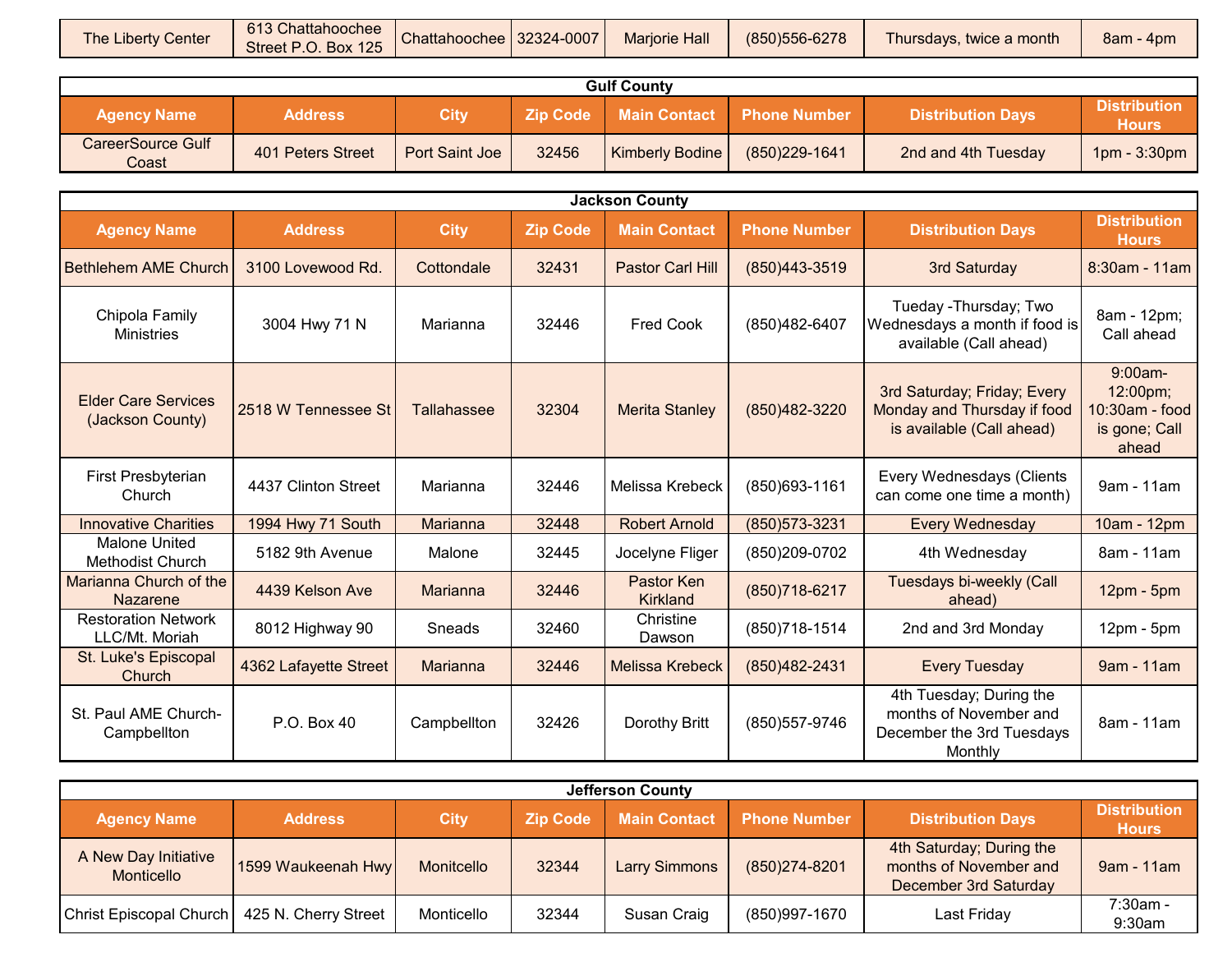| Thursdays, twice a month<br>Street P.O. Box 125 | <b>The Liberty Center</b> | 613 Chattahoochee | Chattahoochee 32324-0007 | <b>Mariorie Hall</b> | (850) 556-6278 |  | $8am - 4pm$ |
|-------------------------------------------------|---------------------------|-------------------|--------------------------|----------------------|----------------|--|-------------|
|-------------------------------------------------|---------------------------|-------------------|--------------------------|----------------------|----------------|--|-------------|

| <b>Gulf County</b>                |                   |                       |                 |                        |                     |                          |                              |  |  |  |
|-----------------------------------|-------------------|-----------------------|-----------------|------------------------|---------------------|--------------------------|------------------------------|--|--|--|
| <b>Agency Name</b>                | <b>Address</b>    | City                  | <b>Zip Code</b> | <b>Main Contact</b>    | <b>Phone Number</b> | <b>Distribution Davs</b> | <b>Distribution</b><br>Hours |  |  |  |
| <b>CareerSource Gulf</b><br>Coast | 401 Peters Street | <b>Port Saint Joe</b> | 32456           | <b>Kimberly Bodine</b> | (850)229-1641       | 2nd and 4th Tuesday      | 1pm - 3:30pm                 |  |  |  |

|                                                |                       |             |                 | <b>Jackson County</b>         |                     |                                                                                           |                                                                      |
|------------------------------------------------|-----------------------|-------------|-----------------|-------------------------------|---------------------|-------------------------------------------------------------------------------------------|----------------------------------------------------------------------|
| <b>Agency Name</b>                             | <b>Address</b>        | <b>City</b> | <b>Zip Code</b> | <b>Main Contact</b>           | <b>Phone Number</b> | <b>Distribution Days</b>                                                                  | <b>Distribution</b><br><b>Hours</b>                                  |
| <b>Bethlehem AME Church</b>                    | 3100 Lovewood Rd.     | Cottondale  | 32431           | Pastor Carl Hill              | (850)443-3519       | 3rd Saturday                                                                              | 8:30am - 11am                                                        |
| Chipola Family<br><b>Ministries</b>            | 3004 Hwy 71 N         | Marianna    | 32446           | <b>Fred Cook</b>              | (850) 482-6407      | Tueday - Thursday; Two<br>Wednesdays a month if food is<br>available (Call ahead)         | 8am - 12pm;<br>Call ahead                                            |
| <b>Elder Care Services</b><br>(Jackson County) | 2518 W Tennessee St   | Tallahassee | 32304           | <b>Merita Stanley</b>         | (850) 482-3220      | 3rd Saturday; Friday; Every<br>Monday and Thursday if food<br>is available (Call ahead)   | $9:00am -$<br>12:00pm;<br>10:30am - food  <br>is gone; Call<br>ahead |
| First Presbyterian<br>Church                   | 4437 Clinton Street   | Marianna    | 32446           | Melissa Krebeck               | (850) 693-1161      | Every Wednesdays (Clients<br>can come one time a month)                                   | 9am - 11am                                                           |
| <b>Innovative Charities</b>                    | 1994 Hwy 71 South     | Marianna    | 32448           | <b>Robert Arnold</b>          | (850) 573-3231      | <b>Every Wednesday</b>                                                                    | 10am - 12pm                                                          |
| <b>Malone United</b><br>Methodist Church       | 5182 9th Avenue       | Malone      | 32445           | Jocelyne Fliger               | (850)209-0702       | 4th Wednesday                                                                             | 8am - 11am                                                           |
| Marianna Church of the<br><b>Nazarene</b>      | 4439 Kelson Ave       | Marianna    | 32446           | Pastor Ken<br><b>Kirkland</b> | (850) 718-6217      | Tuesdays bi-weekly (Call<br>ahead)                                                        | 12pm - 5pm                                                           |
| <b>Restoration Network</b><br>LLC/Mt. Moriah   | 8012 Highway 90       | Sneads      | 32460           | Christine<br>Dawson           | (850) 718-1514      | 2nd and 3rd Monday                                                                        | $12pm - 5pm$                                                         |
| St. Luke's Episcopal<br>Church                 | 4362 Lafayette Street | Marianna    | 32446           | <b>Melissa Krebeck</b>        | (850) 482-2431      | <b>Every Tuesday</b>                                                                      | 9am - 11am                                                           |
| St. Paul AME Church-<br>Campbellton            | P.O. Box 40           | Campbellton | 32426           | Dorothy Britt                 | (850) 557-9746      | 4th Tuesday; During the<br>months of November and<br>December the 3rd Tuesdays<br>Monthly | 8am - 11am                                                           |

| <b>Jefferson County</b>            |                      |             |                 |                      |                     |                                                                             |                                     |  |  |  |  |
|------------------------------------|----------------------|-------------|-----------------|----------------------|---------------------|-----------------------------------------------------------------------------|-------------------------------------|--|--|--|--|
| <b>Agency Name</b>                 | <b>Address</b>       | <b>City</b> | <b>Zip Code</b> | <b>Main Contact</b>  | <b>Phone Number</b> | <b>Distribution Days</b>                                                    | <b>Distribution</b><br><b>Hours</b> |  |  |  |  |
| A New Day Initiative<br>Monticello | 1599 Waukeenah Hwy   | Monitcello  | 32344           | <b>Larry Simmons</b> | (850) 274-8201      | 4th Saturday; During the<br>months of November and<br>December 3rd Saturday | 9am - 11am                          |  |  |  |  |
| Christ Episcopal Church            | 425 N. Cherry Street | Monticello  | 32344           | Susan Craig          | (850)997-1670       | Last Friday                                                                 | $7:30am -$<br>9:30am                |  |  |  |  |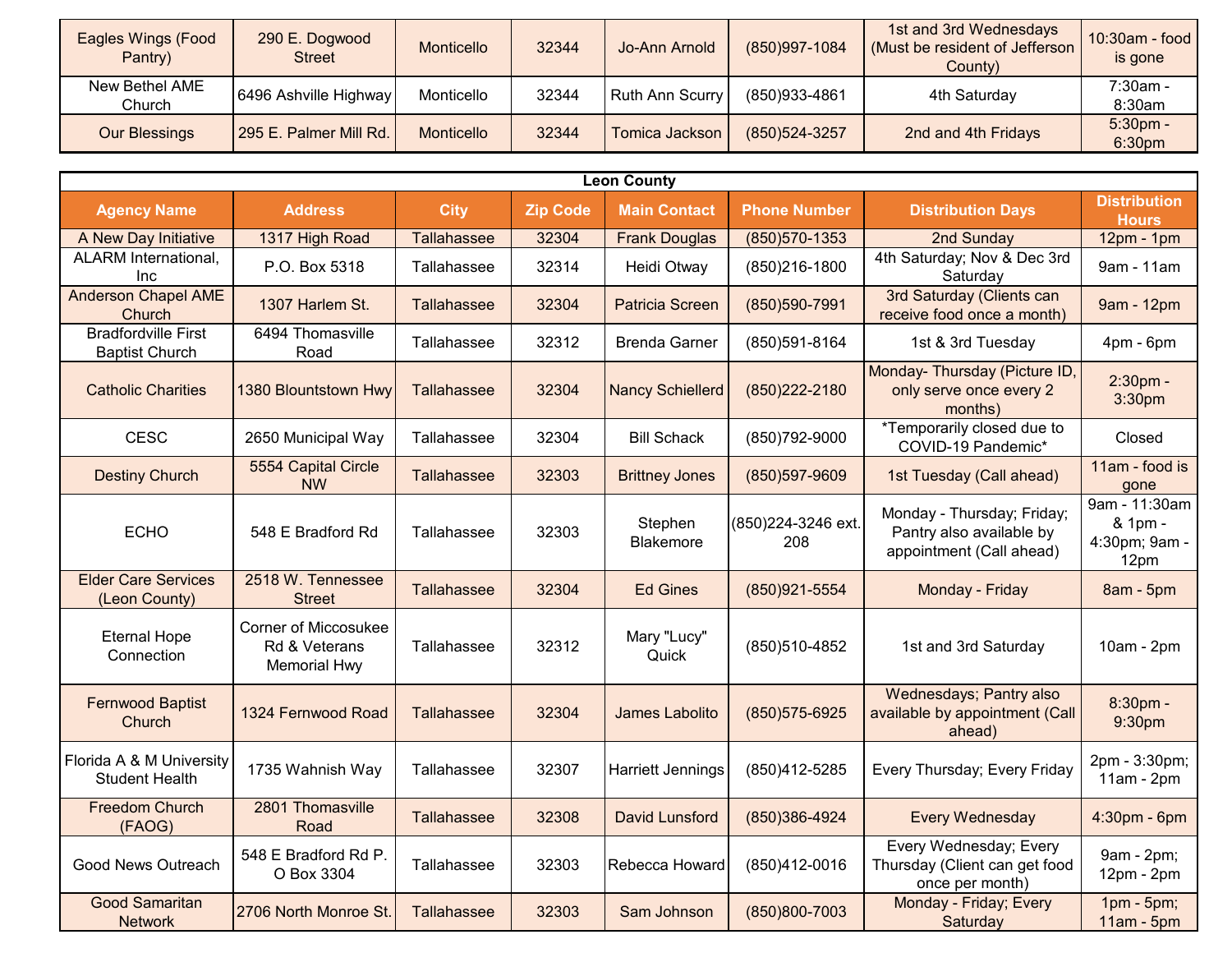| Eagles Wings (Food<br>Pantry) | 290 E. Dogwood<br><b>Street</b> | Monticello | 32344 | Jo-Ann Arnold          | (850)997-1084  | 1st and 3rd Wednesdays<br>(Must be resident of Jefferson<br>County) | $10:30$ am - food<br>is gone     |
|-------------------------------|---------------------------------|------------|-------|------------------------|----------------|---------------------------------------------------------------------|----------------------------------|
| New Bethel AME<br>Church      | 6496 Ashville Highway           | Monticello | 32344 | <b>Ruth Ann Scurry</b> | (850)933-4861  | 4th Saturday                                                        | 7:30am -<br>8:30am               |
| <b>Our Blessings</b>          | 295 E. Palmer Mill Rd.          | Monticello | 32344 | Tomica Jackson         | (850) 524-3257 | 2nd and 4th Fridays                                                 | $5:30pm$ -<br>6:30 <sub>pm</sub> |

|                                                     |                                                                     |                    |                 | <b>Leon County</b>          |                            |                                                                                    |                                                   |
|-----------------------------------------------------|---------------------------------------------------------------------|--------------------|-----------------|-----------------------------|----------------------------|------------------------------------------------------------------------------------|---------------------------------------------------|
| <b>Agency Name</b>                                  | <b>Address</b>                                                      | <b>City</b>        | <b>Zip Code</b> | <b>Main Contact</b>         | <b>Phone Number</b>        | <b>Distribution Days</b>                                                           | <b>Distribution</b><br><b>Hours</b>               |
| A New Day Initiative                                | 1317 High Road                                                      | <b>Tallahassee</b> | 32304           | <b>Frank Douglas</b>        | (850) 570 - 1353           | 2nd Sunday                                                                         | 12pm - 1pm                                        |
| ALARM International,<br>Inc                         | P.O. Box 5318                                                       | Tallahassee        | 32314           | Heidi Otway                 | (850)216-1800              | 4th Saturday; Nov & Dec 3rd<br>Saturday                                            | 9am - 11am                                        |
| <b>Anderson Chapel AME</b><br>Church                | 1307 Harlem St.                                                     | <b>Tallahassee</b> | 32304           | <b>Patricia Screen</b>      | (850)590-7991              | 3rd Saturday (Clients can<br>receive food once a month)                            | 9am - 12pm                                        |
| <b>Bradfordville First</b><br><b>Baptist Church</b> | 6494 Thomasville<br>Road                                            | Tallahassee        | 32312           | <b>Brenda Garner</b>        | (850)591-8164              | 1st & 3rd Tuesday                                                                  | 4pm - 6pm                                         |
| <b>Catholic Charities</b>                           | 1380 Blountstown Hwy                                                | <b>Tallahassee</b> | 32304           | <b>Nancy Schiellerd</b>     | (850) 222-2180             | Monday- Thursday (Picture ID,<br>only serve once every 2<br>months)                | 2:30pm -<br>3:30pm                                |
| <b>CESC</b>                                         | 2650 Municipal Way                                                  | Tallahassee        | 32304           | <b>Bill Schack</b>          | (850) 792-9000             | *Temporarily closed due to<br>COVID-19 Pandemic*                                   | Closed                                            |
| <b>Destiny Church</b>                               | 5554 Capital Circle<br><b>NW</b>                                    | Tallahassee        | 32303           | <b>Brittney Jones</b>       | (850)597-9609              | 1st Tuesday (Call ahead)                                                           | 11am - food is<br>gone                            |
| <b>ECHO</b>                                         | 548 E Bradford Rd                                                   | Tallahassee        | 32303           | Stephen<br><b>Blakemore</b> | (850) 224-3246 ext.<br>208 | Monday - Thursday; Friday;<br>Pantry also available by<br>appointment (Call ahead) | 9am - 11:30am<br>& 1pm -<br>4:30pm; 9am -<br>12pm |
| <b>Elder Care Services</b><br>(Leon County)         | 2518 W. Tennessee<br><b>Street</b>                                  | Tallahassee        | 32304           | <b>Ed Gines</b>             | (850)921-5554              | Monday - Friday                                                                    | 8am - 5pm                                         |
| <b>Eternal Hope</b><br>Connection                   | <b>Corner of Miccosukee</b><br>Rd & Veterans<br><b>Memorial Hwy</b> | Tallahassee        | 32312           | Mary "Lucy"<br>Quick        | (850)510-4852              | 1st and 3rd Saturday                                                               | 10am - 2pm                                        |
| <b>Fernwood Baptist</b><br>Church                   | 1324 Fernwood Road                                                  | Tallahassee        | 32304           | James Labolito              | (850) 575-6925             | Wednesdays; Pantry also<br>available by appointment (Call<br>ahead)                | 8:30pm -<br>9:30pm                                |
| Florida A & M University<br><b>Student Health</b>   | 1735 Wahnish Way                                                    | Tallahassee        | 32307           | <b>Harriett Jennings</b>    | (850)412-5285              | Every Thursday; Every Friday                                                       | 2pm - 3:30pm;<br>$11am - 2pm$                     |
| <b>Freedom Church</b><br>(FAOG)                     | 2801 Thomasville<br>Road                                            | Tallahassee        | 32308           | <b>David Lunsford</b>       | (850)386-4924              | <b>Every Wednesday</b>                                                             | 4:30pm - 6pm                                      |
| Good News Outreach                                  | 548 E Bradford Rd P.<br>O Box 3304                                  | Tallahassee        | 32303           | Rebecca Howard              | (850)412-0016              | Every Wednesday; Every<br>Thursday (Client can get food<br>once per month)         | 9am - 2pm;<br>12pm - 2pm                          |
| <b>Good Samaritan</b><br><b>Network</b>             | 2706 North Monroe St.                                               | <b>Tallahassee</b> | 32303           | Sam Johnson                 | (850)800-7003              | Monday - Friday; Every<br>Saturday                                                 | 1pm - 5pm;<br>$11am - 5pm$                        |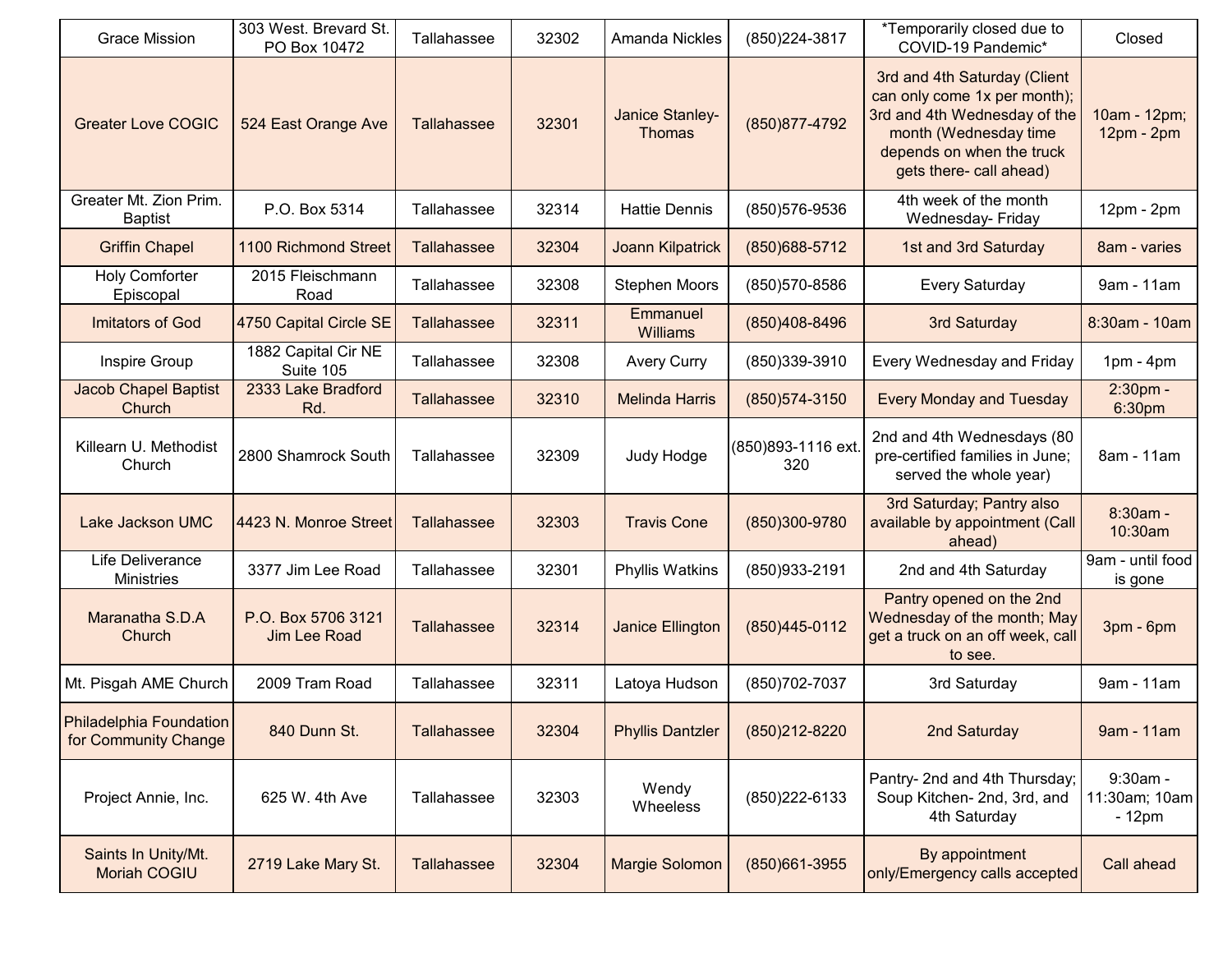| <b>Grace Mission</b>                                   | 303 West. Brevard St.<br>PO Box 10472     | Tallahassee        | 32302 | <b>Amanda Nickles</b>            | (850) 224-3817             | *Temporarily closed due to<br>COVID-19 Pandemic*                                                                                                                              | Closed                               |
|--------------------------------------------------------|-------------------------------------------|--------------------|-------|----------------------------------|----------------------------|-------------------------------------------------------------------------------------------------------------------------------------------------------------------------------|--------------------------------------|
| <b>Greater Love COGIC</b>                              | 524 East Orange Ave                       | Tallahassee        | 32301 | Janice Stanley-<br><b>Thomas</b> | (850) 877-4792             | 3rd and 4th Saturday (Client<br>can only come 1x per month);<br>3rd and 4th Wednesday of the<br>month (Wednesday time<br>depends on when the truck<br>gets there- call ahead) | 10am - 12pm;<br>12pm - 2pm           |
| Greater Mt. Zion Prim.<br><b>Baptist</b>               | P.O. Box 5314                             | Tallahassee        | 32314 | <b>Hattie Dennis</b>             | (850) 576-9536             | 4th week of the month<br>Wednesday- Friday                                                                                                                                    | 12pm - 2pm                           |
| <b>Griffin Chapel</b>                                  | 1100 Richmond Street                      | <b>Tallahassee</b> | 32304 | <b>Joann Kilpatrick</b>          | (850) 688-5712             | 1st and 3rd Saturday                                                                                                                                                          | 8am - varies                         |
| <b>Holy Comforter</b><br>Episcopal                     | 2015 Fleischmann<br>Road                  | Tallahassee        | 32308 | <b>Stephen Moors</b>             | (850) 570-8586             | <b>Every Saturday</b>                                                                                                                                                         | 9am - 11am                           |
| <b>Imitators of God</b>                                | 4750 Capital Circle SE                    | <b>Tallahassee</b> | 32311 | Emmanuel<br><b>Williams</b>      | (850)408-8496              | 3rd Saturday                                                                                                                                                                  | 8:30am - 10am                        |
| Inspire Group                                          | 1882 Capital Cir NE<br>Suite 105          | Tallahassee        | 32308 | <b>Avery Curry</b>               | (850)339-3910              | Every Wednesday and Friday                                                                                                                                                    | $1pm - 4pm$                          |
| <b>Jacob Chapel Baptist</b><br>Church                  | 2333 Lake Bradford<br>Rd.                 | <b>Tallahassee</b> | 32310 | <b>Melinda Harris</b>            | (850) 574-3150             | <b>Every Monday and Tuesday</b>                                                                                                                                               | 2:30pm -<br>6:30pm                   |
| Killearn U. Methodist<br>Church                        | 2800 Shamrock South                       | Tallahassee        | 32309 | Judy Hodge                       | (850) 893-1116 ext.<br>320 | 2nd and 4th Wednesdays (80<br>pre-certified families in June;<br>served the whole year)                                                                                       | 8am - 11am                           |
| Lake Jackson UMC                                       | 4423 N. Monroe Street                     | <b>Tallahassee</b> | 32303 | <b>Travis Cone</b>               | (850)300-9780              | 3rd Saturday; Pantry also<br>available by appointment (Call<br>ahead)                                                                                                         | 8:30am -<br>10:30am                  |
| Life Deliverance<br><b>Ministries</b>                  | 3377 Jim Lee Road                         | Tallahassee        | 32301 | <b>Phyllis Watkins</b>           | (850)933-2191              | 2nd and 4th Saturday                                                                                                                                                          | 9am - until food<br>is gone          |
| Maranatha S.D.A<br>Church                              | P.O. Box 5706 3121<br><b>Jim Lee Road</b> | <b>Tallahassee</b> | 32314 | Janice Ellington                 | (850)445-0112              | Pantry opened on the 2nd<br>Wednesday of the month; May<br>get a truck on an off week, call<br>to see.                                                                        | 3pm - 6pm                            |
| Mt. Pisgah AME Church                                  | 2009 Tram Road                            | Tallahassee        | 32311 | Latoya Hudson                    | (850) 702-7037             | 3rd Saturday                                                                                                                                                                  | 9am - 11am                           |
| <b>Philadelphia Foundation</b><br>for Community Change | 840 Dunn St.                              | <b>Tallahassee</b> | 32304 | <b>Phyllis Dantzler</b>          | (850)212-8220              | 2nd Saturday                                                                                                                                                                  | 9am - 11am                           |
| Project Annie, Inc.                                    | 625 W. 4th Ave                            | Tallahassee        | 32303 | Wendy<br>Wheeless                | (850) 222-6133             | Pantry- 2nd and 4th Thursday;<br>Soup Kitchen- 2nd, 3rd, and<br>4th Saturday                                                                                                  | 9:30am -<br>11:30am; 10am<br>$-12pm$ |
| Saints In Unity/Mt.<br><b>Moriah COGIU</b>             | 2719 Lake Mary St.                        | <b>Tallahassee</b> | 32304 | Margie Solomon                   | (850)661-3955              | By appointment<br>only/Emergency calls accepted                                                                                                                               | Call ahead                           |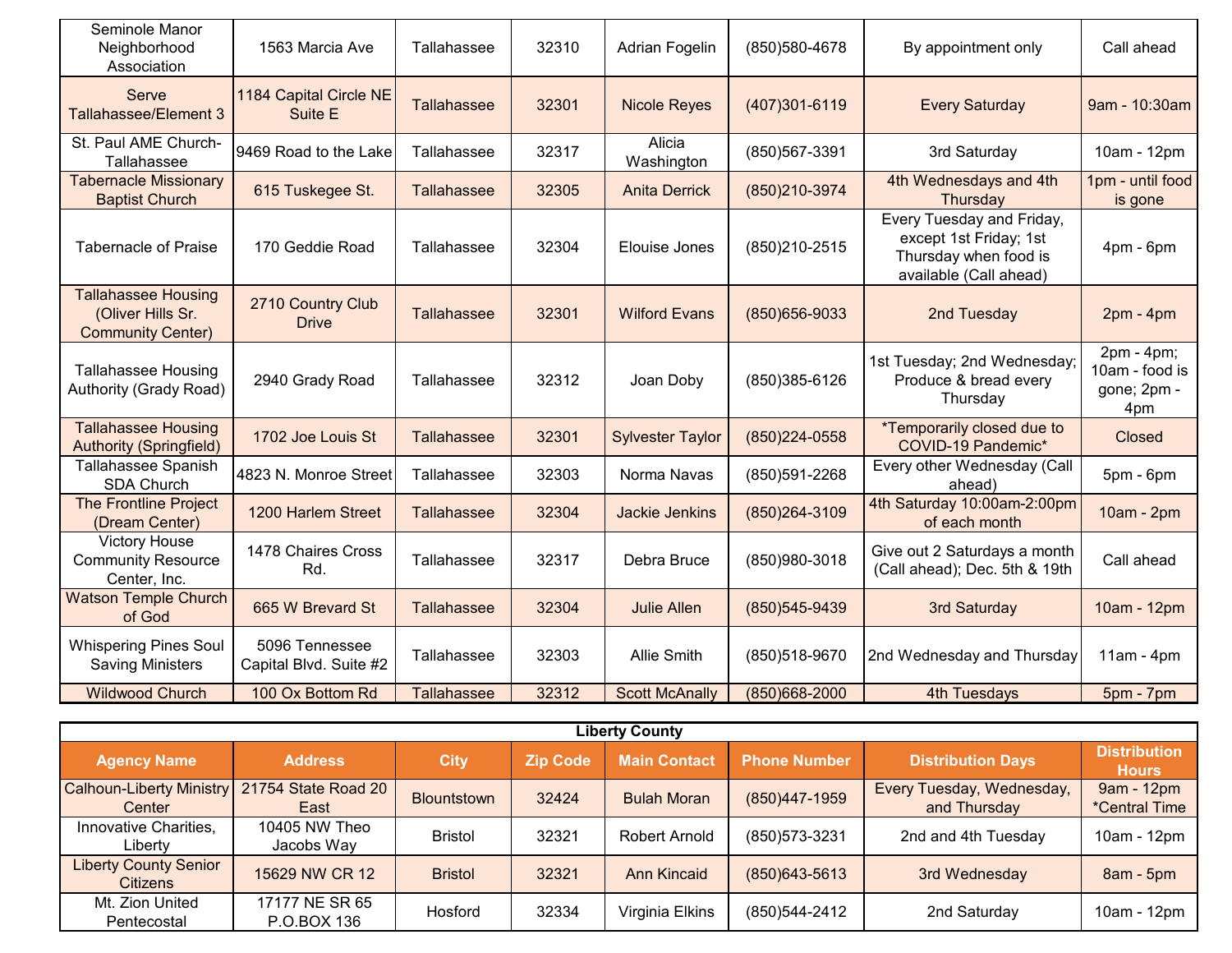| Seminole Manor<br>Neighborhood<br>Association                               | 1563 Marcia Ave                          | Tallahassee        | 32310 | <b>Adrian Fogelin</b>   | (850) 580-4678 | By appointment only                                                                                    | Call ahead                                         |
|-----------------------------------------------------------------------------|------------------------------------------|--------------------|-------|-------------------------|----------------|--------------------------------------------------------------------------------------------------------|----------------------------------------------------|
| Serve<br>Tallahassee/Element 3                                              | 1184 Capital Circle NE<br>Suite E        | <b>Tallahassee</b> | 32301 | <b>Nicole Reyes</b>     | (407)301-6119  | <b>Every Saturday</b>                                                                                  | 9am - 10:30am                                      |
| St. Paul AME Church-<br>Tallahassee                                         | 9469 Road to the Lake                    | Tallahassee        | 32317 | Alicia<br>Washington    | (850) 567-3391 | 3rd Saturday                                                                                           | 10am - 12pm                                        |
| <b>Tabernacle Missionary</b><br><b>Baptist Church</b>                       | 615 Tuskegee St.                         | Tallahassee        | 32305 | <b>Anita Derrick</b>    | (850)210-3974  | 4th Wednesdays and 4th<br>Thursday                                                                     | 1pm - until food<br>is gone                        |
| <b>Tabernacle of Praise</b>                                                 | 170 Geddie Road                          | Tallahassee        | 32304 | Elouise Jones           | (850) 210-2515 | Every Tuesday and Friday,<br>except 1st Friday; 1st<br>Thursday when food is<br>available (Call ahead) | $4pm - 6pm$                                        |
| <b>Tallahassee Housing</b><br>(Oliver Hills Sr.<br><b>Community Center)</b> | 2710 Country Club<br><b>Drive</b>        | Tallahassee        | 32301 | <b>Wilford Evans</b>    | (850) 656-9033 | 2nd Tuesday                                                                                            | $2pm - 4pm$                                        |
| <b>Tallahassee Housing</b><br>Authority (Grady Road)                        | 2940 Grady Road                          | Tallahassee        | 32312 | Joan Doby               | (850)385-6126  | 1st Tuesday; 2nd Wednesday;<br>Produce & bread every<br>Thursday                                       | 2pm - 4pm;<br>10am - food is<br>gone; 2pm -<br>4pm |
| <b>Tallahassee Housing</b><br><b>Authority (Springfield)</b>                | 1702 Joe Louis St                        | Tallahassee        | 32301 | <b>Sylvester Taylor</b> | (850)224-0558  | *Temporarily closed due to<br>COVID-19 Pandemic*                                                       | <b>Closed</b>                                      |
| Tallahassee Spanish<br><b>SDA Church</b>                                    | 4823 N. Monroe Street                    | Tallahassee        | 32303 | Norma Navas             | (850)591-2268  | Every other Wednesday (Call<br>ahead)                                                                  | 5pm - 6pm                                          |
| The Frontline Project<br>(Dream Center)                                     | 1200 Harlem Street                       | Tallahassee        | 32304 | <b>Jackie Jenkins</b>   | (850) 264-3109 | 4th Saturday 10:00am-2:00pm<br>of each month                                                           | 10am - 2pm                                         |
| <b>Victory House</b><br><b>Community Resource</b><br>Center, Inc.           | 1478 Chaires Cross<br>Rd.                | Tallahassee        | 32317 | Debra Bruce             | (850)980-3018  | Give out 2 Saturdays a month<br>(Call ahead); Dec. 5th & 19th                                          | Call ahead                                         |
| <b>Watson Temple Church</b><br>of God                                       | 665 W Brevard St                         | <b>Tallahassee</b> | 32304 | <b>Julie Allen</b>      | (850) 545-9439 | 3rd Saturday                                                                                           | 10am - 12pm                                        |
| <b>Whispering Pines Soul</b><br><b>Saving Ministers</b>                     | 5096 Tennessee<br>Capital Blvd. Suite #2 | Tallahassee        | 32303 | <b>Allie Smith</b>      | (850)518-9670  | 2nd Wednesday and Thursday                                                                             | $11am - 4pm$                                       |
| <b>Wildwood Church</b>                                                      | 100 Ox Bottom Rd                         | <b>Tallahassee</b> | 32312 | <b>Scott McAnally</b>   | (850)668-2000  | 4th Tuesdays                                                                                           | 5pm - 7pm                                          |

|                                                 | <b>Liberty County</b>         |                |                 |                      |                     |                                           |                                     |  |  |  |  |  |
|-------------------------------------------------|-------------------------------|----------------|-----------------|----------------------|---------------------|-------------------------------------------|-------------------------------------|--|--|--|--|--|
| <b>Agency Name</b>                              | <b>Address</b>                | <b>City</b>    | <b>Zip Code</b> | <b>Main Contact</b>  | <b>Phone Number</b> | <b>Distribution Days</b>                  | <b>Distribution</b><br><b>Hours</b> |  |  |  |  |  |
| <b>Calhoun-Liberty Ministry</b><br>Center       | 21754 State Road 20<br>East   | Blountstown    | 32424           | <b>Bulah Moran</b>   | (850)447-1959       | Every Tuesday, Wednesday,<br>and Thursday | 9am - 12pm<br><i>*Central Time</i>  |  |  |  |  |  |
| Innovative Charities,<br>Libertv                | 10405 NW Theo<br>Jacobs Way   | <b>Bristol</b> | 32321           | <b>Robert Arnold</b> | (850) 573-3231      | 2nd and 4th Tuesday                       | 10am - 12pm                         |  |  |  |  |  |
| <b>Liberty County Senior</b><br><b>Citizens</b> | 15629 NW CR 12                | <b>Bristol</b> | 32321           | <b>Ann Kincaid</b>   | $(850)$ 643-5613    | 3rd Wednesday                             | 8am - 5pm                           |  |  |  |  |  |
| Mt. Zion United<br>Pentecostal                  | 17177 NE SR 65<br>P.O.BOX 136 | Hosford        | 32334           | Virginia Elkins      | (850) 544-2412      | 2nd Saturday                              | 10am - 12pm                         |  |  |  |  |  |